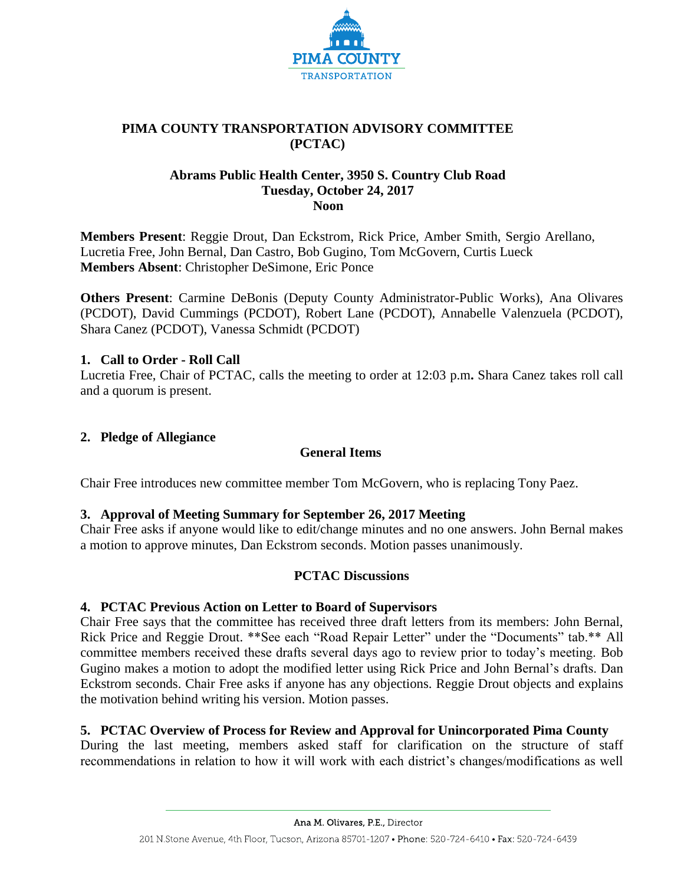

# **PIMA COUNTY TRANSPORTATION ADVISORY COMMITTEE (PCTAC)**

## **Abrams Public Health Center, 3950 S. Country Club Road Tuesday, October 24, 2017 Noon**

**Members Present**: Reggie Drout, Dan Eckstrom, Rick Price, Amber Smith, Sergio Arellano, Lucretia Free, John Bernal, Dan Castro, Bob Gugino, Tom McGovern, Curtis Lueck **Members Absent**: Christopher DeSimone, Eric Ponce

**Others Present**: Carmine DeBonis (Deputy County Administrator-Public Works), Ana Olivares (PCDOT), David Cummings (PCDOT), Robert Lane (PCDOT), Annabelle Valenzuela (PCDOT), Shara Canez (PCDOT), Vanessa Schmidt (PCDOT)

## **1. Call to Order - Roll Call**

Lucretia Free, Chair of PCTAC, calls the meeting to order at 12:03 p.m**.** Shara Canez takes roll call and a quorum is present.

### **2. Pledge of Allegiance**

# **General Items**

Chair Free introduces new committee member Tom McGovern, who is replacing Tony Paez.

# **3. Approval of Meeting Summary for September 26, 2017 Meeting**

Chair Free asks if anyone would like to edit/change minutes and no one answers. John Bernal makes a motion to approve minutes, Dan Eckstrom seconds. Motion passes unanimously.

### **PCTAC Discussions**

# **4. PCTAC Previous Action on Letter to Board of Supervisors**

Chair Free says that the committee has received three draft letters from its members: John Bernal, Rick Price and Reggie Drout. \*\*See each "Road Repair Letter" under the "Documents" tab.\*\* All committee members received these drafts several days ago to review prior to today's meeting. Bob Gugino makes a motion to adopt the modified letter using Rick Price and John Bernal's drafts. Dan Eckstrom seconds. Chair Free asks if anyone has any objections. Reggie Drout objects and explains the motivation behind writing his version. Motion passes.

# **5. PCTAC Overview of Process for Review and Approval for Unincorporated Pima County**

During the last meeting, members asked staff for clarification on the structure of staff recommendations in relation to how it will work with each district's changes/modifications as well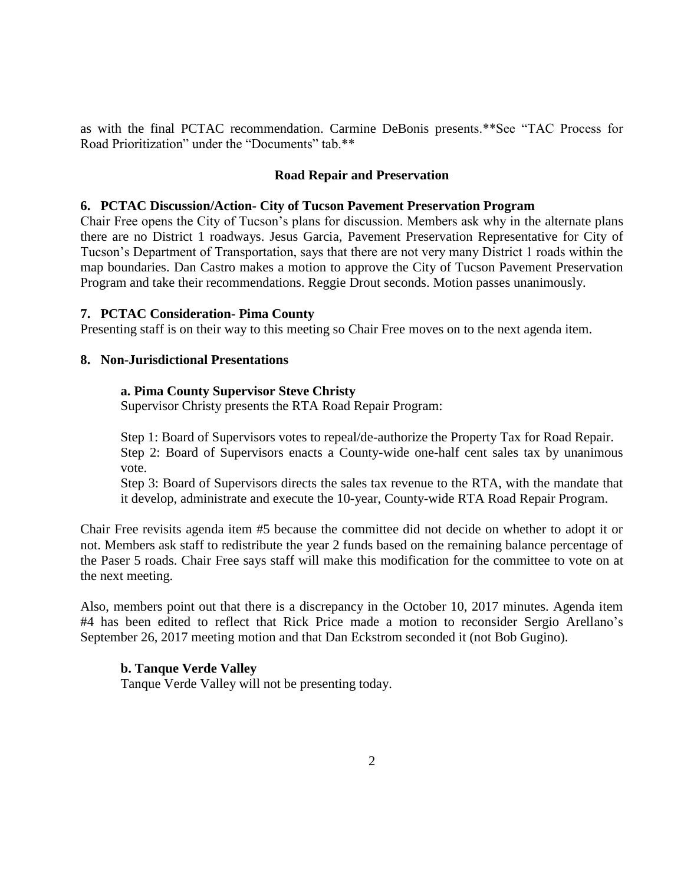as with the final PCTAC recommendation. Carmine DeBonis presents.\*\*See "TAC Process for Road Prioritization" under the "Documents" tab.\*\*

### **Road Repair and Preservation**

#### **6. PCTAC Discussion/Action- City of Tucson Pavement Preservation Program**

Chair Free opens the City of Tucson's plans for discussion. Members ask why in the alternate plans there are no District 1 roadways. Jesus Garcia, Pavement Preservation Representative for City of Tucson's Department of Transportation, says that there are not very many District 1 roads within the map boundaries. Dan Castro makes a motion to approve the City of Tucson Pavement Preservation Program and take their recommendations. Reggie Drout seconds. Motion passes unanimously.

#### **7. PCTAC Consideration- Pima County**

Presenting staff is on their way to this meeting so Chair Free moves on to the next agenda item.

#### **8. Non-Jurisdictional Presentations**

#### **a. Pima County Supervisor Steve Christy**

Supervisor Christy presents the RTA Road Repair Program:

Step 1: Board of Supervisors votes to repeal/de-authorize the Property Tax for Road Repair. Step 2: Board of Supervisors enacts a County-wide one-half cent sales tax by unanimous vote.

Step 3: Board of Supervisors directs the sales tax revenue to the RTA, with the mandate that it develop, administrate and execute the 10-year, County-wide RTA Road Repair Program.

Chair Free revisits agenda item #5 because the committee did not decide on whether to adopt it or not. Members ask staff to redistribute the year 2 funds based on the remaining balance percentage of the Paser 5 roads. Chair Free says staff will make this modification for the committee to vote on at the next meeting.

Also, members point out that there is a discrepancy in the October 10, 2017 minutes. Agenda item #4 has been edited to reflect that Rick Price made a motion to reconsider Sergio Arellano's September 26, 2017 meeting motion and that Dan Eckstrom seconded it (not Bob Gugino).

#### **b. Tanque Verde Valley**

Tanque Verde Valley will not be presenting today.